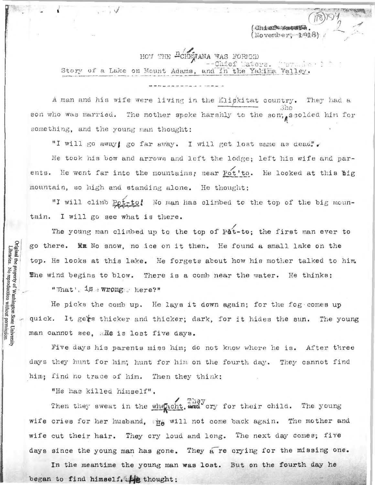Chief Waters (Novembert 1918

HOW THE "CHEWANA WAS FORMED Story of a Lake on Mount Adams, and in the Yakima Valley

A man and his wife were living in the Klickitat country. They had a son who was married. The mother spoke harshly to the son, seolded him for something, and the young man thought:

"I will go away! go far away. I will get lost same as dead!"

He took his bow and arrows and left the lodge; left his wife and parents. He went far into the mountains, near Pot'to. He looked at this big mountain, so high and standing alone. He thought:

"I will climb Pot-to! No man has climbed to the top of the big mountain. I will go see what is there.

The young man climbed up to the top of Pat-to; the first man ever to go there. ME No snow, no ice on it then. He found a small lake on the top. He looks at this lake. He forgets about how his mother talked to him. The wind begins to blow. There is a comb near the water. He thinks: "What's is wrongs here?"

He picks the comb up. He lays it down again; for the fog comes up quick. It gets thicker and thicker; dark, for it hides the sun. The young man cannot see, alle is lost five days.

Five days his parents miss him; do not know where he is. After three days they hunt for him; hunt for him on the fourth day. They cannot find him; find no trace of him. Then they think:

"He has killed himself".

Original the property of Washington State University<br>Libraries. No reproduction without permission.

Then they sweat in the wheacht. and cry for their child. The young wife cries for her husband, the will not come back again. The mother and wife cut their hair. They cry loud and long. The next day comes; five days since the young man has gone. They a re crying for the missing one.

In the meantime the young man was lost. But on the fourth day he began to find himself, the thought: